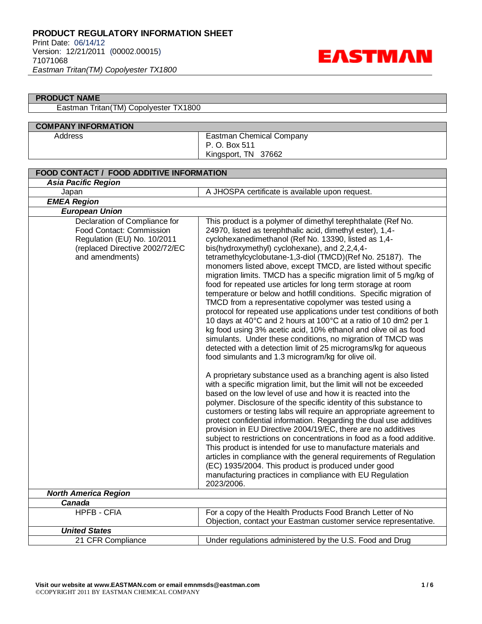

### **PRODUCT NAME**

Eastman Tritan(TM) Copolyester TX1800

### **COMPANY INFORMATION** Address **Eastman Chemical Company** P. O. Box 511 Kingsport, TN 37662

| <b>FOOD CONTACT / FOOD ADDITIVE INFORMATION</b>                                                                                               |                                                                                                                                                                                                                                                                                                                                                                                                                                                                                                                                                                                                                                                                                                                                                                                                                                                                                                                                                                                                                                                                                                                                                                                                                                                                                                                                                                                                                                                                                                                                                                                                                                                                                                                                                                                                                                                                                  |  |
|-----------------------------------------------------------------------------------------------------------------------------------------------|----------------------------------------------------------------------------------------------------------------------------------------------------------------------------------------------------------------------------------------------------------------------------------------------------------------------------------------------------------------------------------------------------------------------------------------------------------------------------------------------------------------------------------------------------------------------------------------------------------------------------------------------------------------------------------------------------------------------------------------------------------------------------------------------------------------------------------------------------------------------------------------------------------------------------------------------------------------------------------------------------------------------------------------------------------------------------------------------------------------------------------------------------------------------------------------------------------------------------------------------------------------------------------------------------------------------------------------------------------------------------------------------------------------------------------------------------------------------------------------------------------------------------------------------------------------------------------------------------------------------------------------------------------------------------------------------------------------------------------------------------------------------------------------------------------------------------------------------------------------------------------|--|
| <b>Asia Pacific Region</b>                                                                                                                    |                                                                                                                                                                                                                                                                                                                                                                                                                                                                                                                                                                                                                                                                                                                                                                                                                                                                                                                                                                                                                                                                                                                                                                                                                                                                                                                                                                                                                                                                                                                                                                                                                                                                                                                                                                                                                                                                                  |  |
| Japan                                                                                                                                         | A JHOSPA certificate is available upon request.                                                                                                                                                                                                                                                                                                                                                                                                                                                                                                                                                                                                                                                                                                                                                                                                                                                                                                                                                                                                                                                                                                                                                                                                                                                                                                                                                                                                                                                                                                                                                                                                                                                                                                                                                                                                                                  |  |
| <b>EMEA Region</b>                                                                                                                            |                                                                                                                                                                                                                                                                                                                                                                                                                                                                                                                                                                                                                                                                                                                                                                                                                                                                                                                                                                                                                                                                                                                                                                                                                                                                                                                                                                                                                                                                                                                                                                                                                                                                                                                                                                                                                                                                                  |  |
| <b>European Union</b>                                                                                                                         |                                                                                                                                                                                                                                                                                                                                                                                                                                                                                                                                                                                                                                                                                                                                                                                                                                                                                                                                                                                                                                                                                                                                                                                                                                                                                                                                                                                                                                                                                                                                                                                                                                                                                                                                                                                                                                                                                  |  |
| Declaration of Compliance for<br>Food Contact: Commission<br>Regulation (EU) No. 10/2011<br>(replaced Directive 2002/72/EC<br>and amendments) | This product is a polymer of dimethyl terephthalate (Ref No.<br>24970, listed as terephthalic acid, dimethyl ester), 1,4-<br>cyclohexanedimethanol (Ref No. 13390, listed as 1,4-<br>bis(hydroxymethyl) cyclohexane), and 2,2,4,4-<br>tetramethylcyclobutane-1,3-diol (TMCD)(Ref No. 25187). The<br>monomers listed above, except TMCD, are listed without specific<br>migration limits. TMCD has a specific migration limit of 5 mg/kg of<br>food for repeated use articles for long term storage at room<br>temperature or below and hotfill conditions. Specific migration of<br>TMCD from a representative copolymer was tested using a<br>protocol for repeated use applications under test conditions of both<br>10 days at 40°C and 2 hours at 100°C at a ratio of 10 dm2 per 1<br>kg food using 3% acetic acid, 10% ethanol and olive oil as food<br>simulants. Under these conditions, no migration of TMCD was<br>detected with a detection limit of 25 micrograms/kg for aqueous<br>food simulants and 1.3 microgram/kg for olive oil.<br>A proprietary substance used as a branching agent is also listed<br>with a specific migration limit, but the limit will not be exceeded<br>based on the low level of use and how it is reacted into the<br>polymer. Disclosure of the specific identity of this substance to<br>customers or testing labs will require an appropriate agreement to<br>protect confidential information. Regarding the dual use additives<br>provision in EU Directive 2004/19/EC, there are no additives<br>subject to restrictions on concentrations in food as a food additive.<br>This product is intended for use to manufacture materials and<br>articles in compliance with the general requirements of Regulation<br>(EC) 1935/2004. This product is produced under good<br>manufacturing practices in compliance with EU Regulation |  |
|                                                                                                                                               | 2023/2006.                                                                                                                                                                                                                                                                                                                                                                                                                                                                                                                                                                                                                                                                                                                                                                                                                                                                                                                                                                                                                                                                                                                                                                                                                                                                                                                                                                                                                                                                                                                                                                                                                                                                                                                                                                                                                                                                       |  |
| <b>North America Region</b><br>Canada                                                                                                         |                                                                                                                                                                                                                                                                                                                                                                                                                                                                                                                                                                                                                                                                                                                                                                                                                                                                                                                                                                                                                                                                                                                                                                                                                                                                                                                                                                                                                                                                                                                                                                                                                                                                                                                                                                                                                                                                                  |  |
| <b>HPFB - CFIA</b>                                                                                                                            | For a copy of the Health Products Food Branch Letter of No                                                                                                                                                                                                                                                                                                                                                                                                                                                                                                                                                                                                                                                                                                                                                                                                                                                                                                                                                                                                                                                                                                                                                                                                                                                                                                                                                                                                                                                                                                                                                                                                                                                                                                                                                                                                                       |  |
|                                                                                                                                               | Objection, contact your Eastman customer service representative.                                                                                                                                                                                                                                                                                                                                                                                                                                                                                                                                                                                                                                                                                                                                                                                                                                                                                                                                                                                                                                                                                                                                                                                                                                                                                                                                                                                                                                                                                                                                                                                                                                                                                                                                                                                                                 |  |
| <b>United States</b>                                                                                                                          |                                                                                                                                                                                                                                                                                                                                                                                                                                                                                                                                                                                                                                                                                                                                                                                                                                                                                                                                                                                                                                                                                                                                                                                                                                                                                                                                                                                                                                                                                                                                                                                                                                                                                                                                                                                                                                                                                  |  |
| 21 CFR Compliance                                                                                                                             | Under regulations administered by the U.S. Food and Drug                                                                                                                                                                                                                                                                                                                                                                                                                                                                                                                                                                                                                                                                                                                                                                                                                                                                                                                                                                                                                                                                                                                                                                                                                                                                                                                                                                                                                                                                                                                                                                                                                                                                                                                                                                                                                         |  |
|                                                                                                                                               |                                                                                                                                                                                                                                                                                                                                                                                                                                                                                                                                                                                                                                                                                                                                                                                                                                                                                                                                                                                                                                                                                                                                                                                                                                                                                                                                                                                                                                                                                                                                                                                                                                                                                                                                                                                                                                                                                  |  |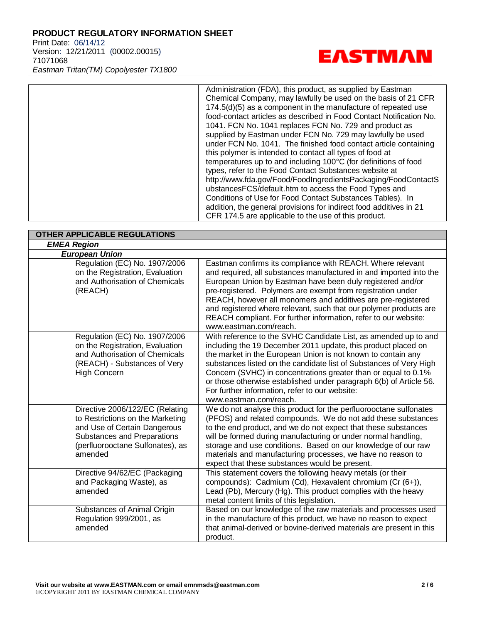Print Date: 06/14/12 Version: 12/21/2011 (00002.00015) 71071068 *Eastman Tritan(TM) Copolyester TX1800*



Administration (FDA), this product, as supplied by Eastman Chemical Company, may lawfully be used on the basis of 21 CFR 174.5(d)(5) as a component in the manufacture of repeated use food-contact articles as described in Food Contact Notification No. 1041. FCN No. 1041 replaces FCN No. 729 and product as supplied by Eastman under FCN No. 729 may lawfully be used under FCN No. 1041. The finished food contact article containing this polymer is intended to contact all types of food at temperatures up to and including 100°C (for definitions of food types, refer to the Food Contact Substances website at http://www.fda.gov/Food/FoodIngredientsPackaging/FoodContactS ubstancesFCS/default.htm to access the Food Types and Conditions of Use for Food Contact Substances Tables). In addition, the general provisions for indirect food additives in 21 CFR 174.5 are applicable to the use of this product.

| <b>OTHER APPLICABLE REGULATIONS</b>                                                                                                                                               |                                                                                                                                                                                                                                                                                                                                                                                                                                                                                                 |
|-----------------------------------------------------------------------------------------------------------------------------------------------------------------------------------|-------------------------------------------------------------------------------------------------------------------------------------------------------------------------------------------------------------------------------------------------------------------------------------------------------------------------------------------------------------------------------------------------------------------------------------------------------------------------------------------------|
| <b>EMEA Region</b>                                                                                                                                                                |                                                                                                                                                                                                                                                                                                                                                                                                                                                                                                 |
| <b>European Union</b>                                                                                                                                                             |                                                                                                                                                                                                                                                                                                                                                                                                                                                                                                 |
| Regulation (EC) No. 1907/2006<br>on the Registration, Evaluation<br>and Authorisation of Chemicals<br>(REACH)                                                                     | Eastman confirms its compliance with REACH. Where relevant<br>and required, all substances manufactured in and imported into the<br>European Union by Eastman have been duly registered and/or<br>pre-registered. Polymers are exempt from registration under<br>REACH, however all monomers and additives are pre-registered<br>and registered where relevant, such that our polymer products are<br>REACH compliant. For further information, refer to our website:<br>www.eastman.com/reach. |
| Regulation (EC) No. 1907/2006<br>on the Registration, Evaluation<br>and Authorisation of Chemicals<br>(REACH) - Substances of Very<br><b>High Concern</b>                         | With reference to the SVHC Candidate List, as amended up to and<br>including the 19 December 2011 update, this product placed on<br>the market in the European Union is not known to contain any<br>substances listed on the candidate list of Substances of Very High<br>Concern (SVHC) in concentrations greater than or equal to 0.1%<br>or those otherwise established under paragraph 6(b) of Article 56.<br>For further information, refer to our website:<br>www.eastman.com/reach.      |
| Directive 2006/122/EC (Relating<br>to Restrictions on the Marketing<br>and Use of Certain Dangerous<br>Substances and Preparations<br>(perfluorooctane Sulfonates), as<br>amended | We do not analyse this product for the perfluorooctane sulfonates<br>(PFOS) and related compounds. We do not add these substances<br>to the end product, and we do not expect that these substances<br>will be formed during manufacturing or under normal handling,<br>storage and use conditions. Based on our knowledge of our raw<br>materials and manufacturing processes, we have no reason to<br>expect that these substances would be present.                                          |
| Directive 94/62/EC (Packaging<br>and Packaging Waste), as<br>amended                                                                                                              | This statement covers the following heavy metals (or their<br>compounds): Cadmium (Cd), Hexavalent chromium (Cr (6+)),<br>Lead (Pb), Mercury (Hg). This product complies with the heavy<br>metal content limits of this legislation.                                                                                                                                                                                                                                                            |
| Substances of Animal Origin<br>Regulation 999/2001, as<br>amended                                                                                                                 | Based on our knowledge of the raw materials and processes used<br>in the manufacture of this product, we have no reason to expect<br>that animal-derived or bovine-derived materials are present in this<br>product.                                                                                                                                                                                                                                                                            |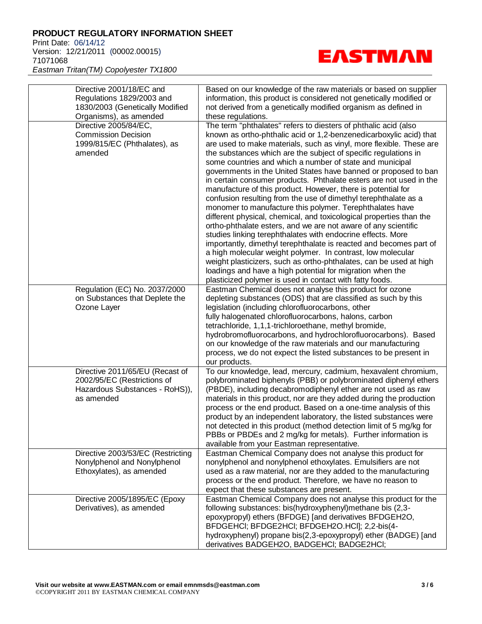Print Date: 06/14/12 Version: 12/21/2011 (00002.00015) 71071068 *Eastman Tritan(TM) Copolyester TX1800*

**EASTMAN** 

Directive 2001/18/EC and Regulations 1829/2003 and 1830/2003 (Genetically Modified Organisms), as amended Based on our knowledge of the raw materials or based on supplier information, this product is considered not genetically modified or not derived from a genetically modified organism as defined in these regulations. Directive 2005/84/EC, Commission Decision 1999/815/EC (Phthalates), as amended The term "phthalates" refers to diesters of phthalic acid (also known as ortho-phthalic acid or 1,2-benzenedicarboxylic acid) that are used to make materials, such as vinyl, more flexible. These are the substances which are the subject of specific regulations in some countries and which a number of state and municipal governments in the United States have banned or proposed to ban in certain consumer products. Phthalate esters are not used in the manufacture of this product. However, there is potential for confusion resulting from the use of dimethyl terephthalate as a monomer to manufacture this polymer. Terephthalates have different physical, chemical, and toxicological properties than the ortho-phthalate esters, and we are not aware of any scientific studies linking terephthalates with endocrine effects. More importantly, dimethyl terephthalate is reacted and becomes part of a high molecular weight polymer. In contrast, low molecular weight plasticizers, such as ortho-phthalates, can be used at high loadings and have a high potential for migration when the plasticized polymer is used in contact with fatty foods. Regulation (EC) No. 2037/2000 on Substances that Deplete the Ozone Layer Eastman Chemical does not analyse this product for ozone depleting substances (ODS) that are classified as such by this legislation (including chlorofluorocarbons, other fully halogenated chlorofluorocarbons, halons, carbon tetrachloride, 1,1,1-trichloroethane, methyl bromide, hydrobromofluorocarbons, and hydrochlorofluorocarbons). Based on our knowledge of the raw materials and our manufacturing process, we do not expect the listed substances to be present in our products. Directive 2011/65/EU (Recast of 2002/95/EC (Restrictions of Hazardous Substances - RoHS)), as amended To our knowledge, lead, mercury, cadmium, hexavalent chromium, polybrominated biphenyls (PBB) or polybrominated diphenyl ethers (PBDE), including decabromodiphenyl ether are not used as raw materials in this product, nor are they added during the production process or the end product. Based on a one-time analysis of this product by an independent laboratory, the listed substances were not detected in this product (method detection limit of 5 mg/kg for PBBs or PBDEs and 2 mg/kg for metals). Further information is available from your Eastman representative. Directive 2003/53/EC (Restricting Nonylphenol and Nonylphenol Ethoxylates), as amended Eastman Chemical Company does not analyse this product for nonylphenol and nonylphenol ethoxylates. Emulsifiers are not used as a raw material, nor are they added to the manufacturing process or the end product. Therefore, we have no reason to expect that these substances are present. Directive 2005/1895/EC (Epoxy Derivatives), as amended Eastman Chemical Company does not analyse this product for the following substances: bis(hydroxyphenyl)methane bis (2,3 epoxypropyl) ethers (BFDGE) [and derivatives BFDGEH2O, BFDGEHCl; BFDGE2HCl; BFDGEH2O.HCl]; 2,2-bis(4 hydroxyphenyl) propane bis(2,3-epoxypropyl) ether (BADGE) [and derivatives BADGEH2O, BADGEHCl; BADGE2HCl;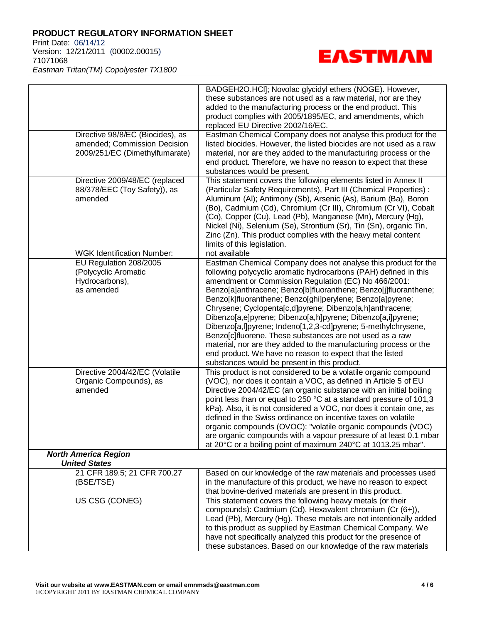Print Date: 06/14/12 Version: 12/21/2011 (00002.00015) 71071068 *Eastman Tritan(TM) Copolyester TX1800*



BADGEH2O.HCl]; Novolac glycidyl ethers (NOGE). However, these substances are not used as a raw material, nor are they added to the manufacturing process or the end product. This product complies with 2005/1895/EC, and amendments, which replaced EU Directive 2002/16/EC. Directive 98/8/EC (Biocides), as amended; Commission Decision 2009/251/EC (Dimethylfumarate) Eastman Chemical Company does not analyse this product for the listed biocides. However, the listed biocides are not used as a raw material, nor are they added to the manufacturing process or the end product. Therefore, we have no reason to expect that these substances would be present. Directive 2009/48/EC (replaced 88/378/EEC (Toy Safety)), as amended This statement covers the following elements listed in Annex II (Particular Safety Requirements), Part III (Chemical Properties) : Aluminum (Al); Antimony (Sb), Arsenic (As), Barium (Ba), Boron (Bo), Cadmium (Cd), Chromium (Cr III), Chromium (Cr VI), Cobalt (Co), Copper (Cu), Lead (Pb), Manganese (Mn), Mercury (Hg), Nickel (Ni), Selenium (Se), Strontium (Sr), Tin (Sn), organic Tin, Zinc (Zn). This product complies with the heavy metal content limits of this legislation. WGK Identification Number: | not available EU Regulation 208/2005 (Polycyclic Aromatic Hydrocarbons), as amended Eastman Chemical Company does not analyse this product for the following polycyclic aromatic hydrocarbons (PAH) defined in this amendment or Commission Regulation (EC) No 466/2001: Benzo[a]anthracene; Benzo[b]fluoranthene; Benzo[j]fluoranthene; Benzo[k]fluoranthene; Benzo[ghi]perylene; Benzo[a]pyrene; Chrysene; Cyclopenta[c,d]pyrene; Dibenzo[a,h]anthracene; Dibenzo[a,e]pyrene; Dibenzo[a,h]pyrene; Dibenzo[a,i]pyrene; Dibenzo[a,l]pyrene; Indeno[1,2,3-cd]pyrene; 5-methylchrysene, Benzo[c]fluorene. These substances are not used as a raw material, nor are they added to the manufacturing process or the end product. We have no reason to expect that the listed substances would be present in this product. Directive 2004/42/EC (Volatile Organic Compounds), as amended This product is not considered to be a volatile organic compound (VOC), nor does it contain a VOC, as defined in Article 5 of EU Directive 2004/42/EC (an organic substance with an initial boiling point less than or equal to 250 °C at a standard pressure of 101,3 kPa). Also, it is not considered a VOC, nor does it contain one, as defined in the Swiss ordinance on incentive taxes on volatile organic compounds (OVOC): "volatile organic compounds (VOC) are organic compounds with a vapour pressure of at least 0.1 mbar at 20°C or a boiling point of maximum 240°C at 1013.25 mbar". *North America Region United States* 21 CFR 189.5; 21 CFR 700.27 (BSE/TSE) Based on our knowledge of the raw materials and processes used in the manufacture of this product, we have no reason to expect that bovine-derived materials are present in this product. US CSG (CONEG) This statement covers the following heavy metals (or their compounds): Cadmium (Cd), Hexavalent chromium (Cr (6+)), Lead (Pb), Mercury (Hg). These metals are not intentionally added to this product as supplied by Eastman Chemical Company. We have not specifically analyzed this product for the presence of these substances. Based on our knowledge of the raw materials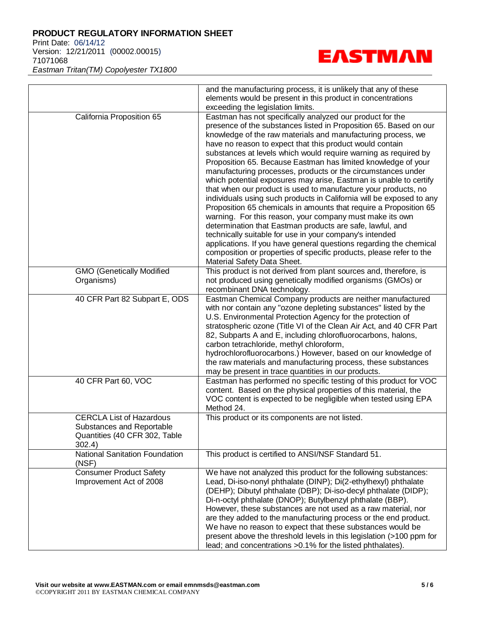Print Date: 06/14/12 Version: 12/21/2011 (00002.00015) 71071068 *Eastman Tritan(TM) Copolyester TX1800*



|                                                                                                         | and the manufacturing process, it is unlikely that any of these<br>elements would be present in this product in concentrations<br>exceeding the legislation limits.                                                                                                                                                                                                                                                                                                                                                                                                                                                                                                                                                                                                                                                                                                                                                                                                                                                                                                                                                |
|---------------------------------------------------------------------------------------------------------|--------------------------------------------------------------------------------------------------------------------------------------------------------------------------------------------------------------------------------------------------------------------------------------------------------------------------------------------------------------------------------------------------------------------------------------------------------------------------------------------------------------------------------------------------------------------------------------------------------------------------------------------------------------------------------------------------------------------------------------------------------------------------------------------------------------------------------------------------------------------------------------------------------------------------------------------------------------------------------------------------------------------------------------------------------------------------------------------------------------------|
| California Proposition 65                                                                               | Eastman has not specifically analyzed our product for the<br>presence of the substances listed in Proposition 65. Based on our<br>knowledge of the raw materials and manufacturing process, we<br>have no reason to expect that this product would contain<br>substances at levels which would require warning as required by<br>Proposition 65. Because Eastman has limited knowledge of your<br>manufacturing processes, products or the circumstances under<br>which potential exposures may arise, Eastman is unable to certify<br>that when our product is used to manufacture your products, no<br>individuals using such products in California will be exposed to any<br>Proposition 65 chemicals in amounts that require a Proposition 65<br>warning. For this reason, your company must make its own<br>determination that Eastman products are safe, lawful, and<br>technically suitable for use in your company's intended<br>applications. If you have general questions regarding the chemical<br>composition or properties of specific products, please refer to the<br>Material Safety Data Sheet. |
| <b>GMO (Genetically Modified</b><br>Organisms)                                                          | This product is not derived from plant sources and, therefore, is<br>not produced using genetically modified organisms (GMOs) or<br>recombinant DNA technology.                                                                                                                                                                                                                                                                                                                                                                                                                                                                                                                                                                                                                                                                                                                                                                                                                                                                                                                                                    |
| 40 CFR Part 82 Subpart E, ODS                                                                           | Eastman Chemical Company products are neither manufactured<br>with nor contain any "ozone depleting substances" listed by the<br>U.S. Environmental Protection Agency for the protection of<br>stratospheric ozone (Title VI of the Clean Air Act, and 40 CFR Part<br>82, Subparts A and E, including chlorofluorocarbons, halons,<br>carbon tetrachloride, methyl chloroform,<br>hydrochlorofluorocarbons.) However, based on our knowledge of<br>the raw materials and manufacturing process, these substances<br>may be present in trace quantities in our products.                                                                                                                                                                                                                                                                                                                                                                                                                                                                                                                                            |
| 40 CFR Part 60, VOC                                                                                     | Eastman has performed no specific testing of this product for VOC<br>content. Based on the physical properties of this material, the<br>VOC content is expected to be negligible when tested using EPA<br>Method 24.                                                                                                                                                                                                                                                                                                                                                                                                                                                                                                                                                                                                                                                                                                                                                                                                                                                                                               |
| <b>CERCLA List of Hazardous</b><br>Substances and Reportable<br>Quantities (40 CFR 302, Table<br>302.4) | This product or its components are not listed.                                                                                                                                                                                                                                                                                                                                                                                                                                                                                                                                                                                                                                                                                                                                                                                                                                                                                                                                                                                                                                                                     |
| <b>National Sanitation Foundation</b><br>(NSF)                                                          | This product is certified to ANSI/NSF Standard 51.                                                                                                                                                                                                                                                                                                                                                                                                                                                                                                                                                                                                                                                                                                                                                                                                                                                                                                                                                                                                                                                                 |
| <b>Consumer Product Safety</b><br>Improvement Act of 2008                                               | We have not analyzed this product for the following substances:<br>Lead, Di-iso-nonyl phthalate (DINP); Di(2-ethylhexyl) phthalate<br>(DEHP); Dibutyl phthalate (DBP); Di-iso-decyl phthalate (DIDP);<br>Di-n-octyl phthalate (DNOP); Butylbenzyl phthalate (BBP).<br>However, these substances are not used as a raw material, nor<br>are they added to the manufacturing process or the end product.<br>We have no reason to expect that these substances would be<br>present above the threshold levels in this legislation (>100 ppm for<br>lead; and concentrations > 0.1% for the listed phthalates).                                                                                                                                                                                                                                                                                                                                                                                                                                                                                                        |